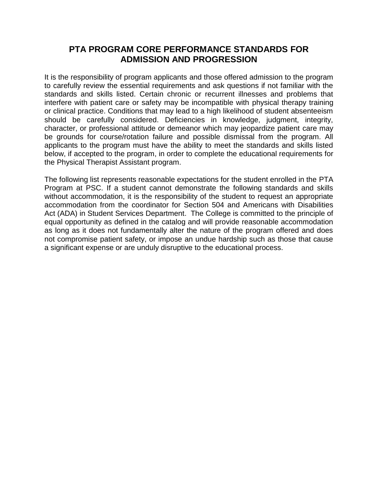#### **PTA PROGRAM CORE PERFORMANCE STANDARDS FOR ADMISSION AND PROGRESSION**

It is the responsibility of program applicants and those offered admission to the program to carefully review the essential requirements and ask questions if not familiar with the standards and skills listed. Certain chronic or recurrent illnesses and problems that interfere with patient care or safety may be incompatible with physical therapy training or clinical practice. Conditions that may lead to a high likelihood of student absenteeism should be carefully considered. Deficiencies in knowledge, judgment, integrity, character, or professional attitude or demeanor which may jeopardize patient care may be grounds for course/rotation failure and possible dismissal from the program. All applicants to the program must have the ability to meet the standards and skills listed below, if accepted to the program, in order to complete the educational requirements for the Physical Therapist Assistant program.

The following list represents reasonable expectations for the student enrolled in the PTA Program at PSC. If a student cannot demonstrate the following standards and skills without accommodation, it is the responsibility of the student to request an appropriate accommodation from the coordinator for Section 504 and Americans with Disabilities Act (ADA) in Student Services Department. The College is committed to the principle of equal opportunity as defined in the catalog and will provide reasonable accommodation as long as it does not fundamentally alter the nature of the program offered and does not compromise patient safety, or impose an undue hardship such as those that cause a significant expense or are unduly disruptive to the educational process.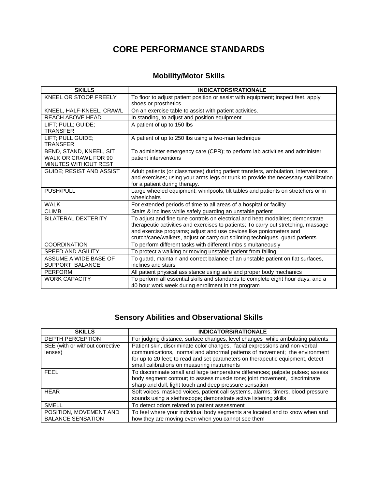## **CORE PERFORMANCE STANDARDS**

### **Mobility/Motor Skills**

| <b>SKILLS</b>                                                                   | <b>INDICATORS/RATIONALE</b>                                                                                                                                                                                                                                                                                                  |
|---------------------------------------------------------------------------------|------------------------------------------------------------------------------------------------------------------------------------------------------------------------------------------------------------------------------------------------------------------------------------------------------------------------------|
| KNEEL OR STOOP FREELY                                                           | To floor to adjust patient position or assist with equipment; inspect feet, apply                                                                                                                                                                                                                                            |
|                                                                                 | shoes or prosthetics                                                                                                                                                                                                                                                                                                         |
| KNEEL, HALF-KNEEL, CRAWL                                                        | On an exercise table to assist with patient activities.                                                                                                                                                                                                                                                                      |
| REACH ABOVE HEAD                                                                | In standing, to adjust and position equipment                                                                                                                                                                                                                                                                                |
| LIFT; PULL; GUIDE;<br><b>TRANSFER</b>                                           | A patient of up to 150 lbs                                                                                                                                                                                                                                                                                                   |
| LIFT; PULL GUIDE;<br><b>TRANSFER</b>                                            | A patient of up to 250 lbs using a two-man technique                                                                                                                                                                                                                                                                         |
| BEND, STAND, KNEEL, SIT,<br>WALK OR CRAWL FOR 90<br><b>MINUTES WITHOUT REST</b> | To administer emergency care (CPR); to perform lab activities and administer<br>patient interventions                                                                                                                                                                                                                        |
| GUIDE; RESIST AND ASSIST                                                        | Adult patients (or classmates) during patient transfers, ambulation, interventions<br>and exercises; using your arms legs or trunk to provide the necessary stabilization<br>for a patient during therapy.                                                                                                                   |
| <b>PUSH/PULL</b>                                                                | Large wheeled equipment; whirlpools, tilt tables and patients on stretchers or in<br>wheelchairs                                                                                                                                                                                                                             |
| <b>WALK</b>                                                                     | For extended periods of time to all areas of a hospital or facility                                                                                                                                                                                                                                                          |
| <b>CLIMB</b>                                                                    | Stairs & inclines while safely guarding an unstable patient                                                                                                                                                                                                                                                                  |
| <b>BILATERAL DEXTERITY</b>                                                      | To adjust and fine tune controls on electrical and heat modalities; demonstrate<br>therapeutic activities and exercises to patients; To carry out stretching, massage<br>and exercise programs; adjust and use devices like goniometers and<br>crutch/cane/walkers, adjust or carry out splinting techniques, guard patients |
| <b>COORDINATION</b>                                                             | To perform different tasks with different limbs simultaneously                                                                                                                                                                                                                                                               |
| <b>SPEED AND AGILITY</b>                                                        | To protect a walking or moving unstable patient from falling                                                                                                                                                                                                                                                                 |
| ASSUME A WIDE BASE OF<br>SUPPORT, BALANCE                                       | To guard, maintain and correct balance of an unstable patient on flat surfaces,<br>inclines and stairs                                                                                                                                                                                                                       |
| <b>PERFORM</b>                                                                  | All patient physical assistance using safe and proper body mechanics                                                                                                                                                                                                                                                         |
| <b>WORK CAPACITY</b>                                                            | To perform all essential skills and standards to complete eight hour days, and a<br>40 hour work week during enrollment in the program                                                                                                                                                                                       |

# **Sensory Abilities and Observational Skills**

| <b>SKILLS</b>                                      | <b>INDICATORS/RATIONALE</b>                                                                                                                                                                                                                                                               |
|----------------------------------------------------|-------------------------------------------------------------------------------------------------------------------------------------------------------------------------------------------------------------------------------------------------------------------------------------------|
| DEPTH PERCEPTION                                   | For judging distance, surface changes, level changes while ambulating patients                                                                                                                                                                                                            |
| SEE (with or without corrective<br>lenses)         | Patient skin, discriminate color changes, facial expressions and non-verbal<br>communications, normal and abnormal patterns of movement; the environment<br>for up to 20 feet; to read and set parameters on therapeutic equipment, detect<br>small calibrations on measuring instruments |
| <b>FEEL</b>                                        | To discriminate small and large temperature differences; palpate pulses; assess<br>body segment contour; to assess muscle tone; joint movement, discriminate<br>sharp and dull, light touch and deep pressure sensation                                                                   |
| <b>HEAR</b>                                        | Soft voices, masked voices, patient call systems, alarms, timers, blood pressure<br>sounds using a stethoscope; demonstrate active listening skills                                                                                                                                       |
| <b>SMELL</b>                                       | To detect odors related to patient assessment                                                                                                                                                                                                                                             |
| POSITION, MOVEMENT AND<br><b>BALANCE SENSATION</b> | To feel where your individual body segments are located and to know when and<br>how they are moving even when you cannot see them                                                                                                                                                         |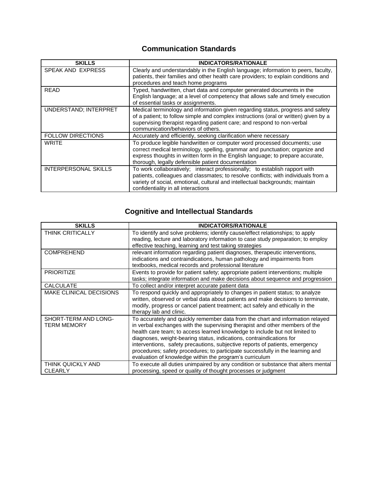#### **Communication Standards**

| <b>SKILLS</b>               | <b>INDICATORS/RATIONALE</b>                                                                                                                                                                                                                                                                      |
|-----------------------------|--------------------------------------------------------------------------------------------------------------------------------------------------------------------------------------------------------------------------------------------------------------------------------------------------|
| SPEAK AND EXPRESS           | Clearly and understandably in the English language; information to peers, faculty,<br>patients, their families and other health care providers; to explain conditions and<br>procedures and teach home programs                                                                                  |
| <b>READ</b>                 | Typed, handwritten, chart data and computer generated documents in the<br>English language; at a level of competency that allows safe and timely execution<br>of essential tasks or assignments.                                                                                                 |
| UNDERSTAND; INTERPRET       | Medical terminology and information given regarding status, progress and safety<br>of a patient; to follow simple and complex instructions (oral or written) given by a<br>supervising therapist regarding patient care; and respond to non-verbal<br>communication/behaviors of others.         |
| <b>FOLLOW DIRECTIONS</b>    | Accurately and efficiently, seeking clarification where necessary                                                                                                                                                                                                                                |
| <b>WRITE</b>                | To produce legible handwritten or computer word processed documents; use<br>correct medical terminology, spelling, grammar and punctuation; organize and<br>express thoughts in written form in the English language; to prepare accurate,<br>thorough, legally defensible patient documentation |
| <b>INTERPERSONAL SKILLS</b> | To work collaboratively; interact professionally; to establish rapport with<br>patients, colleagues and classmates; to resolve conflicts; with individuals from a<br>variety of social, emotional, cultural and intellectual backgrounds; maintain<br>confidentiality in all interactions        |

# **Cognitive and Intellectual Standards**

| <b>SKILLS</b>                       | <b>INDICATORS/RATIONALE</b>                                                                                                                                                                                                                                                                                                                                                                                                                                                                                                                       |
|-------------------------------------|---------------------------------------------------------------------------------------------------------------------------------------------------------------------------------------------------------------------------------------------------------------------------------------------------------------------------------------------------------------------------------------------------------------------------------------------------------------------------------------------------------------------------------------------------|
| <b>THINK CRITICALLY</b>             | To identify and solve problems; identify cause/effect relationships; to apply<br>reading, lecture and laboratory information to case study preparation; to employ<br>effective teaching, learning and test taking strategies                                                                                                                                                                                                                                                                                                                      |
| <b>COMPREHEND</b>                   | relevant information regarding patient diagnoses, therapeutic interventions,<br>indications and contraindications, human pathology and impairments from<br>textbooks, medical records and professional literature                                                                                                                                                                                                                                                                                                                                 |
| <b>PRIORITIZE</b>                   | Events to provide for patient safety; appropriate patient interventions; multiple<br>tasks; integrate information and make decisions about sequence and progression                                                                                                                                                                                                                                                                                                                                                                               |
| <b>CALCULATE</b>                    | To collect and/or interpret accurate patient data                                                                                                                                                                                                                                                                                                                                                                                                                                                                                                 |
| <b>MAKE CLINICAL DECISIONS</b>      | To respond quickly and appropriately to changes in patient status; to analyze<br>written, observed or verbal data about patients and make decisions to terminate,<br>modify, progress or cancel patient treatment; act safely and ethically in the<br>therapy lab and clinic.                                                                                                                                                                                                                                                                     |
| SHORT-TERM AND LONG-<br>TERM MEMORY | To accurately and quickly remember data from the chart and information relayed<br>in verbal exchanges with the supervising therapist and other members of the<br>health care team; to access learned knowledge to include but not limited to<br>diagnoses, weight-bearing status, indications, contraindications for<br>interventions, safety precautions, subjective reports of patients, emergency<br>procedures; safety procedures; to participate successfully in the learning and<br>evaluation of knowledge within the program's curriculum |
| THINK QUICKLY AND<br><b>CLEARLY</b> | To execute all duties unimpaired by any condition or substance that alters mental<br>processing, speed or quality of thought processes or judgment                                                                                                                                                                                                                                                                                                                                                                                                |